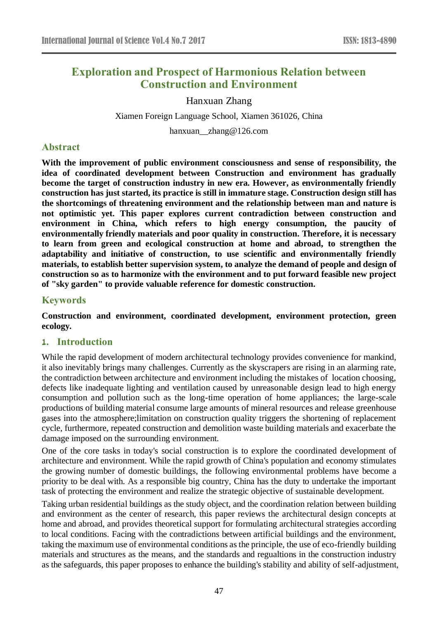# **Exploration and Prospect of Harmonious Relation between Construction and Environment**

## Hanxuan Zhang

Xiamen Foreign Language School, Xiamen 361026, China

hanxuan\_\_zhang@126.com

## **Abstract**

**With the improvement of public environment consciousness and sense of responsibility, the idea of coordinated development between Construction and environment has gradually become the target of construction industry in new era. However, as environmentally friendly construction has just started, its practice is still in immature stage. Construction design still has the shortcomings of threatening environment and the relationship between man and nature is not optimistic yet. This paper explores current contradiction between construction and environment in China, which refers to high energy consumption, the paucity of environmentally friendly materials and poor quality in construction. Therefore, it is necessary to learn from green and ecological construction at home and abroad, to strengthen the adaptability and initiative of construction, to use scientific and environmentally friendly materials, to establish better supervision system, to analyze the demand of people and design of construction so as to harmonize with the environment and to put forward feasible new project of "sky garden" to provide valuable reference for domestic construction.**

## **Keywords**

**Construction and environment, coordinated development, environment protection, green ecology.**

## **1. Introduction**

While the rapid development of modern architectural technology provides convenience for mankind, it also inevitably brings many challenges. Currently as the skyscrapers are rising in an alarming rate, the contradiction between architecture and environment including the mistakes of location choosing, defects like inadequate lighting and ventilation caused by unreasonable design lead to high energy consumption and pollution such as the long-time operation of home appliances; the large-scale productions of building material consume large amounts of mineral resources and release greenhouse gases into the atmosphere;limitation on construction quality triggers the shortening of replacement cycle, furthermore, repeated construction and demolition waste building materials and exacerbate the damage imposed on the surrounding environment.

One of the core tasks in today's social construction is to explore the coordinated development of architecture and environment. While the rapid growth of China's population and economy stimulates the growing number of domestic buildings, the following environmental problems have become a priority to be deal with. As a responsible big country, China has the duty to undertake the important task of protecting the environment and realize the strategic objective of sustainable development.

Taking urban residential buildings as the study object, and the coordination relation between building and environment as the center of research, this paper reviews the architectural design concepts at home and abroad, and provides theoretical support for formulating architectural strategies according to local conditions. Facing with the contradictions between artificial buildings and the environment, taking the maximum use of environmental conditions as the principle, the use of eco-friendly building materials and structures as the means, and the standards and regualtions in the construction industry as the safeguards, this paper proposes to enhance the building's stability and ability of self-adjustment,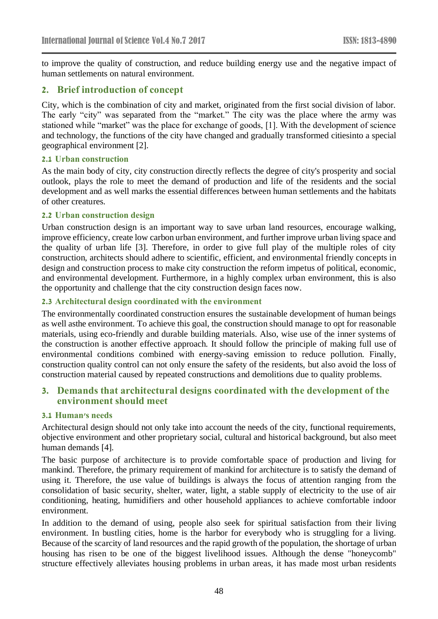to improve the quality of construction, and reduce building energy use and the negative impact of human settlements on natural environment.

## **2. Brief introduction of concept**

City, which is the combination of city and market, originated from the first social division of labor. The early "city" was separated from the "market." The city was the place where the army was stationed while "market" was the place for exchange of goods, [1]. With the development of science and technology, the functions of the city have changed and gradually transformed citiesinto a special geographical environment [2].

#### **2.1 Urban construction**

As the main body of city, city construction directly reflects the degree of city's prosperity and social outlook, plays the role to meet the demand of production and life of the residents and the social development and as well marks the essential differences between human settlements and the habitats of other creatures.

### **2.2 Urban construction design**

Urban construction design is an important way to save urban land resources, encourage walking, improve efficiency, create low carbon urban environment, and further improve urban living space and the quality of urban life [3]. Therefore, in order to give full play of the multiple roles of city construction, architects should adhere to scientific, efficient, and environmental friendly concepts in design and construction process to make city construction the reform impetus of political, economic, and environmental development. Furthermore, in a highly complex urban environment, this is also the opportunity and challenge that the city construction design faces now.

### **2.3 Architectural design coordinated with the environment**

The environmentally coordinated construction ensures the sustainable development of human beings as well asthe environment. To achieve this goal, the construction should manage to opt for reasonable materials, using eco-friendly and durable building materials. Also, wise use of the inner systems of the construction is another effective approach. It should follow the principle of making full use of environmental conditions combined with energy-saving emission to reduce pollution. Finally, construction quality control can not only ensure the safety of the residents, but also avoid the loss of construction material caused by repeated constructions and demolitions due to quality problems.

## **3. Demands that architectural designs coordinated with the development of the environment should meet**

#### **3.1 Human's needs**

Architectural design should not only take into account the needs of the city, functional requirements, objective environment and other proprietary social, cultural and historical background, but also meet human demands [4].

The basic purpose of architecture is to provide comfortable space of production and living for mankind. Therefore, the primary requirement of mankind for architecture is to satisfy the demand of using it. Therefore, the use value of buildings is always the focus of attention ranging from the consolidation of basic security, shelter, water, light, a stable supply of electricity to the use of air conditioning, heating, humidifiers and other household appliances to achieve comfortable indoor environment.

In addition to the demand of using, people also seek for spiritual satisfaction from their living environment. In bustling cities, home is the harbor for everybody who is struggling for a living. Because of the scarcity of land resources and the rapid growth of the population, the shortage of urban housing has risen to be one of the biggest livelihood issues. Although the dense "honeycomb" structure effectively alleviates housing problems in urban areas, it has made most urban residents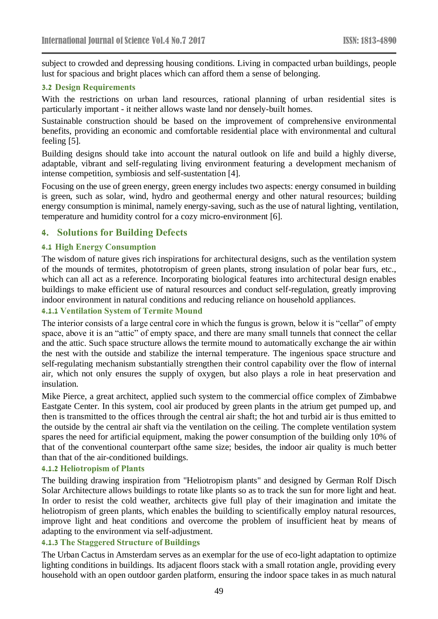subject to crowded and depressing housing conditions. Living in compacted urban buildings, people lust for spacious and bright places which can afford them a sense of belonging.

#### **3.2 Design Requirements**

With the restrictions on urban land resources, rational planning of urban residential sites is particularly important - it neither allows waste land nor densely-built homes.

Sustainable construction should be based on the improvement of comprehensive environmental benefits, providing an economic and comfortable residential place with environmental and cultural feeling [5].

Building designs should take into account the natural outlook on life and build a highly diverse, adaptable, vibrant and self-regulating living environment featuring a development mechanism of intense competition, symbiosis and self-sustentation [4].

Focusing on the use of green energy, green energy includes two aspects: energy consumed in building is green, such as solar, wind, hydro and geothermal energy and other natural resources; building energy consumption is minimal, namely energy-saving, such as the use of natural lighting, ventilation, temperature and humidity control for a cozy micro-environment [6].

## **4. Solutions for Building Defects**

#### **4.1 High Energy Consumption**

The wisdom of nature gives rich inspirations for architectural designs, such as the ventilation system of the mounds of termites, phototropism of green plants, strong insulation of polar bear furs, etc., which can all act as a reference. Incorporating biological features into architectural design enables buildings to make efficient use of natural resources and conduct self-regulation, greatly improving indoor environment in natural conditions and reducing reliance on household appliances.

## **4.1.1 Ventilation System of Termite Mound**

The interior consists of a large central core in which the fungus is grown, below it is "cellar" of empty space, above it is an "attic" of empty space, and there are many small tunnels that connect the cellar and the attic. Such space structure allows the termite mound to automatically exchange the air within the nest with the outside and stabilize the internal temperature. The ingenious space structure and self-regulating mechanism substantially strengthen their control capability over the flow of internal air, which not only ensures the supply of oxygen, but also plays a role in heat preservation and insulation.

Mike Pierce, a great architect, applied such system to the commercial office complex of Zimbabwe Eastgate Center. In this system, cool air produced by green plants in the atrium get pumped up, and then is transmitted to the offices through the central air shaft; the hot and turbid air is thus emitted to the outside by the central air shaft via the ventilation on the ceiling. The complete ventilation system spares the need for artificial equipment, making the power consumption of the building only 10% of that of the conventional counterpart ofthe same size; besides, the indoor air quality is much better than that of the air-conditioned buildings.

#### **4.1.2 Heliotropism of Plants**

The building drawing inspiration from "Heliotropism plants" and designed by German Rolf Disch Solar Architecture allows buildings to rotate like plants so as to track the sun for more light and heat. In order to resist the cold weather, architects give full play of their imagination and imitate the heliotropism of green plants, which enables the building to scientifically employ natural resources, improve light and heat conditions and overcome the problem of insufficient heat by means of adapting to the environment via self-adjustment.

#### **4.1.3 The Staggered Structure of Buildings**

The Urban Cactus in Amsterdam serves as an exemplar for the use of eco-light adaptation to optimize lighting conditions in buildings. Its adjacent floors stack with a small rotation angle, providing every household with an open outdoor garden platform, ensuring the indoor space takes in as much natural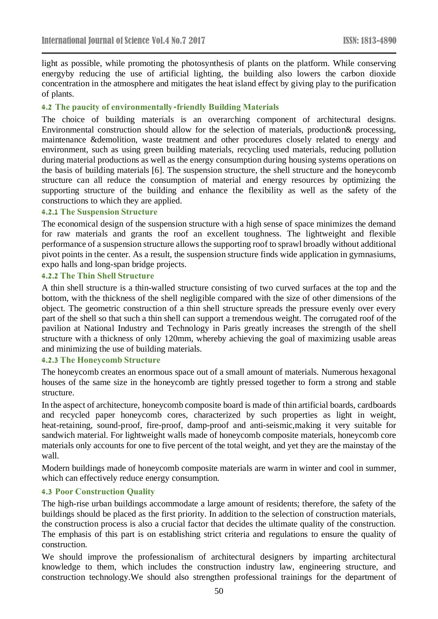light as possible, while promoting the photosynthesis of plants on the platform. While conserving energyby reducing the use of artificial lighting, the building also lowers the carbon dioxide concentration in the atmosphere and mitigates the heat island effect by giving play to the purification of plants.

## **4.2 The paucity of environmentally-friendly Building Materials**

The choice of building materials is an overarching component of architectural designs. Environmental construction should allow for the selection of materials, production& processing, maintenance &demolition, waste treatment and other procedures closely related to energy and environment, such as using green building materials, recycling used materials, reducing pollution during material productions as well as the energy consumption during housing systems operations on the basis of building materials [6]. The suspension structure, the shell structure and the honeycomb structure can all reduce the consumption of material and energy resources by optimizing the supporting structure of the building and enhance the flexibility as well as the safety of the constructions to which they are applied.

#### **4.2.1 The Suspension Structure**

The economical design of the suspension structure with a high sense of space minimizes the demand for raw materials and grants the roof an excellent toughness. The lightweight and flexible performance of a suspension structure allows the supporting roof to sprawl broadly without additional pivot points in the center. As a result, the suspension structure finds wide application in gymnasiums, expo halls and long-span bridge projects.

### **4.2.2 The Thin Shell Structure**

A thin shell structure is a thin-walled structure consisting of two curved surfaces at the top and the bottom, with the thickness of the shell negligible compared with the size of other dimensions of the object. The geometric construction of a thin shell structure spreads the pressure evenly over every part of the shell so that such a thin shell can support a tremendous weight. The corrugated roof of the pavilion at National Industry and Technology in Paris greatly increases the strength of the shell structure with a thickness of only 120mm, whereby achieving the goal of maximizing usable areas and minimizing the use of building materials.

## **4.2.3 The Honeycomb Structure**

The honeycomb creates an enormous space out of a small amount of materials. Numerous hexagonal houses of the same size in the honeycomb are tightly pressed together to form a strong and stable structure.

In the aspect of architecture, honeycomb composite board is made of thin artificial boards, cardboards and recycled paper honeycomb cores, characterized by such properties as light in weight, heat-retaining, sound-proof, fire-proof, damp-proof and anti-seismic,making it very suitable for sandwich material. For lightweight walls made of honeycomb composite materials, honeycomb core materials only accounts for one to five percent of the total weight, and yet they are the mainstay of the wall.

Modern buildings made of honeycomb composite materials are warm in winter and cool in summer, which can effectively reduce energy consumption.

### **4.3 Poor Construction Quality**

The high-rise urban buildings accommodate a large amount of residents; therefore, the safety of the buildings should be placed as the first priority. In addition to the selection of construction materials, the construction process is also a crucial factor that decides the ultimate quality of the construction. The emphasis of this part is on establishing strict criteria and regulations to ensure the quality of construction.

We should improve the professionalism of architectural designers by imparting architectural knowledge to them, which includes the construction industry law, engineering structure, and construction technology.We should also strengthen professional trainings for the department of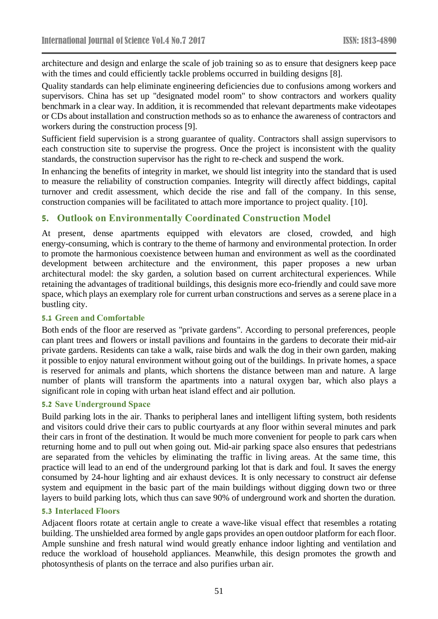architecture and design and enlarge the scale of job training so as to ensure that designers keep pace with the times and could efficiently tackle problems occurred in building designs [8].

Quality standards can help eliminate engineering deficiencies due to confusions among workers and supervisors. China has set up "designated model room" to show contractors and workers quality benchmark in a clear way. In addition, it is recommended that relevant departments make videotapes or CDs about installation and construction methods so as to enhance the awareness of contractors and workers during the construction process [9].

Sufficient field supervision is a strong guarantee of quality. Contractors shall assign supervisors to each construction site to supervise the progress. Once the project is inconsistent with the quality standards, the construction supervisor has the right to re-check and suspend the work.

In enhancing the benefits of integrity in market, we should list integrity into the standard that is used to measure the reliability of construction companies. Integrity will directly affect biddings, capital turnover and credit assessment, which decide the rise and fall of the company. In this sense, construction companies will be facilitated to attach more importance to project quality. [10].

## **5. Outlook on Environmentally Coordinated Construction Model**

At present, dense apartments equipped with elevators are closed, crowded, and high energy-consuming, which is contrary to the theme of harmony and environmental protection. In order to promote the harmonious coexistence between human and environment as well as the coordinated development between architecture and the environment, this paper proposes a new urban architectural model: the sky garden, a solution based on current architectural experiences. While retaining the advantages of traditional buildings, this designis more eco-friendly and could save more space, which plays an exemplary role for current urban constructions and serves as a serene place in a bustling city.

### **5.1 Green and Comfortable**

Both ends of the floor are reserved as "private gardens". According to personal preferences, people can plant trees and flowers or install pavilions and fountains in the gardens to decorate their mid-air private gardens. Residents can take a walk, raise birds and walk the dog in their own garden, making it possible to enjoy natural environment without going out of the buildings. In private homes, a space is reserved for animals and plants, which shortens the distance between man and nature. A large number of plants will transform the apartments into a natural oxygen bar, which also plays a significant role in coping with urban heat island effect and air pollution.

### **5.2 Save Underground Space**

Build parking lots in the air. Thanks to peripheral lanes and intelligent lifting system, both residents and visitors could drive their cars to public courtyards at any floor within several minutes and park their cars in front of the destination. It would be much more convenient for people to park cars when returning home and to pull out when going out. Mid-air parking space also ensures that pedestrians are separated from the vehicles by eliminating the traffic in living areas. At the same time, this practice will lead to an end of the underground parking lot that is dark and foul. It saves the energy consumed by 24-hour lighting and air exhaust devices. It is only necessary to construct air defense system and equipment in the basic part of the main buildings without digging down two or three layers to build parking lots, which thus can save 90% of underground work and shorten the duration.

### **5.3 Interlaced Floors**

Adjacent floors rotate at certain angle to create a wave-like visual effect that resembles a rotating building. The unshielded area formed by angle gaps provides an open outdoor platform for each floor. Ample sunshine and fresh natural wind would greatly enhance indoor lighting and ventilation and reduce the workload of household appliances. Meanwhile, this design promotes the growth and photosynthesis of plants on the terrace and also purifies urban air.